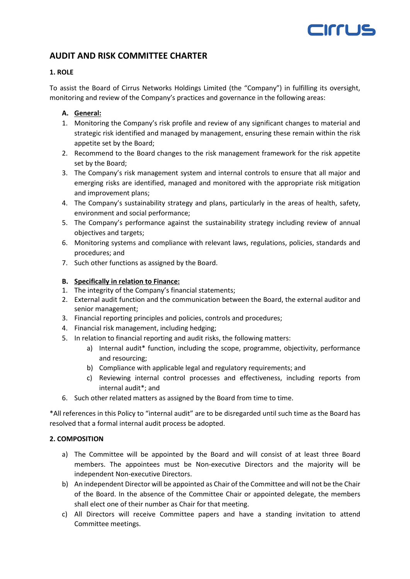# CITTUS

# **AUDIT AND RISK COMMITTEE CHARTER**

# **1. ROLE**

To assist the Board of Cirrus Networks Holdings Limited (the "Company") in fulfilling its oversight, monitoring and review of the Company's practices and governance in the following areas:

# **A. General:**

- 1. Monitoring the Company's risk profile and review of any significant changes to material and strategic risk identified and managed by management, ensuring these remain within the risk appetite set by the Board;
- 2. Recommend to the Board changes to the risk management framework for the risk appetite set by the Board;
- 3. The Company's risk management system and internal controls to ensure that all major and emerging risks are identified, managed and monitored with the appropriate risk mitigation and improvement plans;
- 4. The Company's sustainability strategy and plans, particularly in the areas of health, safety, environment and social performance;
- 5. The Company's performance against the sustainability strategy including review of annual objectives and targets;
- 6. Monitoring systems and compliance with relevant laws, regulations, policies, standards and procedures; and
- 7. Such other functions as assigned by the Board.

# **B. Specifically in relation to Finance:**

- 1. The integrity of the Company's financial statements;
- 2. External audit function and the communication between the Board, the external auditor and senior management;
- 3. Financial reporting principles and policies, controls and procedures;
- 4. Financial risk management, including hedging;
- 5. In relation to financial reporting and audit risks, the following matters:
	- a) Internal audit\* function, including the scope, programme, objectivity, performance and resourcing;
	- b) Compliance with applicable legal and regulatory requirements; and
	- c) Reviewing internal control processes and effectiveness, including reports from internal audit\*; and
- 6. Such other related matters as assigned by the Board from time to time.

\*All references in this Policy to "internal audit" are to be disregarded until such time as the Board has resolved that a formal internal audit process be adopted.

# **2. COMPOSITION**

- a) The Committee will be appointed by the Board and will consist of at least three Board members. The appointees must be Non-executive Directors and the majority will be independent Non-executive Directors.
- b) An independent Director will be appointed as Chair of the Committee and will not be the Chair of the Board. In the absence of the Committee Chair or appointed delegate, the members shall elect one of their number as Chair for that meeting.
- c) All Directors will receive Committee papers and have a standing invitation to attend Committee meetings.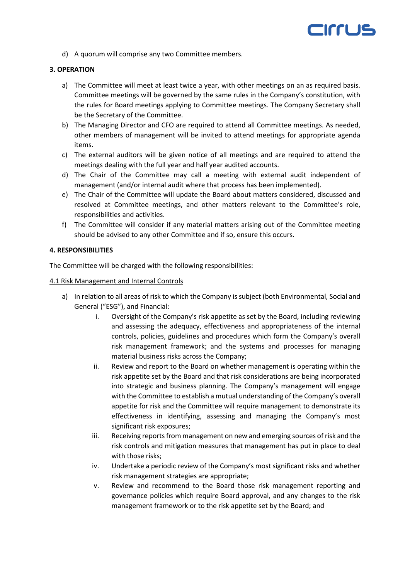

d) A quorum will comprise any two Committee members.

## **3. OPERATION**

- a) The Committee will meet at least twice a year, with other meetings on an as required basis. Committee meetings will be governed by the same rules in the Company's constitution, with the rules for Board meetings applying to Committee meetings. The Company Secretary shall be the Secretary of the Committee.
- b) The Managing Director and CFO are required to attend all Committee meetings. As needed, other members of management will be invited to attend meetings for appropriate agenda items.
- c) The external auditors will be given notice of all meetings and are required to attend the meetings dealing with the full year and half year audited accounts.
- d) The Chair of the Committee may call a meeting with external audit independent of management (and/or internal audit where that process has been implemented).
- e) The Chair of the Committee will update the Board about matters considered, discussed and resolved at Committee meetings, and other matters relevant to the Committee's role, responsibilities and activities.
- f) The Committee will consider if any material matters arising out of the Committee meeting should be advised to any other Committee and if so, ensure this occurs.

#### **4. RESPONSIBILITIES**

The Committee will be charged with the following responsibilities:

#### 4.1 Risk Management and Internal Controls

- a) In relation to all areas of risk to which the Company is subject (both Environmental, Social and General ("ESG"), and Financial:
	- i. Oversight of the Company's risk appetite as set by the Board, including reviewing and assessing the adequacy, effectiveness and appropriateness of the internal controls, policies, guidelines and procedures which form the Company's overall risk management framework; and the systems and processes for managing material business risks across the Company;
	- ii. Review and report to the Board on whether management is operating within the risk appetite set by the Board and that risk considerations are being incorporated into strategic and business planning. The Company's management will engage with the Committee to establish a mutual understanding of the Company's overall appetite for risk and the Committee will require management to demonstrate its effectiveness in identifying, assessing and managing the Company's most significant risk exposures;
	- iii. Receiving reports from management on new and emerging sources of risk and the risk controls and mitigation measures that management has put in place to deal with those risks;
	- iv. Undertake a periodic review of the Company's most significant risks and whether risk management strategies are appropriate;
	- v. Review and recommend to the Board those risk management reporting and governance policies which require Board approval, and any changes to the risk management framework or to the risk appetite set by the Board; and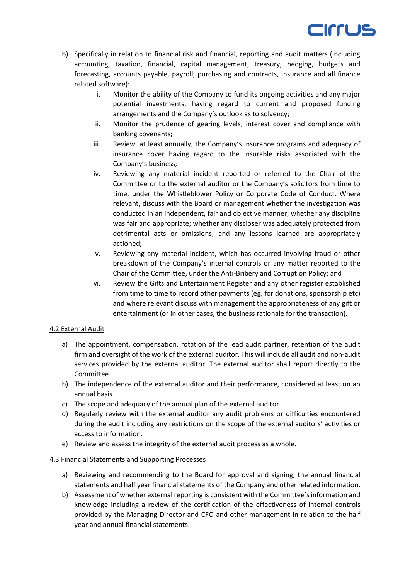

- b) Specifically in relation to financial risk and financial, reporting and audit matters (including accounting, taxation, financial, capital management, treasury, hedging, budgets and forecasting, accounts payable, payroll, purchasing and contracts, insurance and all finance related software):
	- i. Monitor the ability of the Company to fund its ongoing activities and any major potential investments, having regard to current and proposed funding arrangements and the Company's outlook as to solvency;
	- ii. Monitor the prudence of gearing levels, interest cover and compliance with banking covenants;
	- iii. Review, at least annually, the Company's insurance programs and adequacy of insurance cover having regard to the insurable risks associated with the Company's business;
	- iv. Reviewing any material incident reported or referred to the Chair of the Committee or to the external auditor or the Company's solicitors from time to time, under the Whistleblower Policy or Corporate Code of Conduct. Where relevant, discuss with the Board or management whether the investigation was conducted in an independent, fair and objective manner; whether any discipline was fair and appropriate; whether any discloser was adequately protected from detrimental acts or omissions; and any lessons learned are appropriately actioned;
	- v. Reviewing any material incident, which has occurred involving fraud or other breakdown of the Company's internal controls or any matter reported to the Chair of the Committee, under the Anti-Bribery and Corruption Policy; and
	- vi. Review the Gifts and Entertainment Register and any other register established from time to time to record other payments (eg, for donations, sponsorship etc) and where relevant discuss with management the appropriateness of any gift or entertainment (or in other cases, the business rationale for the transaction).

## 4.2 External Audit

- a) The appointment, compensation, rotation of the lead audit partner, retention of the audit firm and oversight of the work of the external auditor. This will include all audit and non-audit services provided by the external auditor. The external auditor shall report directly to the Committee.
- b) The independence of the external auditor and their performance, considered at least on an annual basis.
- c) The scope and adequacy of the annual plan of the external auditor.
- d) Regularly review with the external auditor any audit problems or difficulties encountered during the audit including any restrictions on the scope of the external auditors' activities or access to information.
- e) Review and assess the integrity of the external audit process as a whole.

## 4.3 Financial Statements and Supporting Processes

- a) Reviewing and recommending to the Board for approval and signing, the annual financial statements and half year financial statements of the Company and other related information.
- b) Assessment of whether external reporting is consistent with the Committee's information and knowledge including a review of the certification of the effectiveness of internal controls provided by the Managing Director and CFO and other management in relation to the half year and annual financial statements.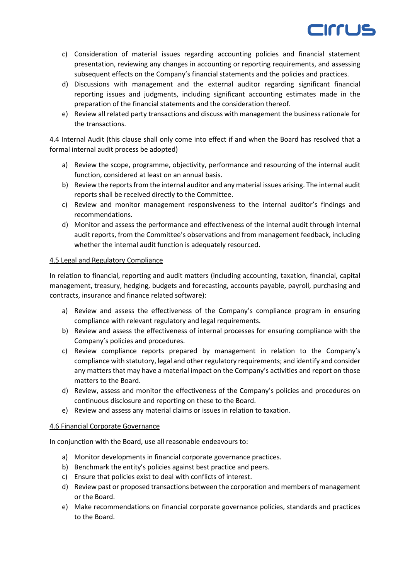

- c) Consideration of material issues regarding accounting policies and financial statement presentation, reviewing any changes in accounting or reporting requirements, and assessing subsequent effects on the Company's financial statements and the policies and practices.
- d) Discussions with management and the external auditor regarding significant financial reporting issues and judgments, including significant accounting estimates made in the preparation of the financial statements and the consideration thereof.
- e) Review all related party transactions and discuss with management the business rationale for the transactions.

4.4 Internal Audit (this clause shall only come into effect if and when the Board has resolved that a formal internal audit process be adopted)

- a) Review the scope, programme, objectivity, performance and resourcing of the internal audit function, considered at least on an annual basis.
- b) Review the reports from the internal auditor and any material issues arising. The internal audit reports shall be received directly to the Committee.
- c) Review and monitor management responsiveness to the internal auditor's findings and recommendations.
- d) Monitor and assess the performance and effectiveness of the internal audit through internal audit reports, from the Committee's observations and from management feedback, including whether the internal audit function is adequately resourced.

## 4.5 Legal and Regulatory Compliance

In relation to financial, reporting and audit matters (including accounting, taxation, financial, capital management, treasury, hedging, budgets and forecasting, accounts payable, payroll, purchasing and contracts, insurance and finance related software):

- a) Review and assess the effectiveness of the Company's compliance program in ensuring compliance with relevant regulatory and legal requirements.
- b) Review and assess the effectiveness of internal processes for ensuring compliance with the Company's policies and procedures.
- c) Review compliance reports prepared by management in relation to the Company's compliance with statutory, legal and other regulatory requirements; and identify and consider any matters that may have a material impact on the Company's activities and report on those matters to the Board.
- d) Review, assess and monitor the effectiveness of the Company's policies and procedures on continuous disclosure and reporting on these to the Board.
- e) Review and assess any material claims or issues in relation to taxation.

# 4.6 Financial Corporate Governance

In conjunction with the Board, use all reasonable endeavours to:

- a) Monitor developments in financial corporate governance practices.
- b) Benchmark the entity's policies against best practice and peers.
- c) Ensure that policies exist to deal with conflicts of interest.
- d) Review past or proposed transactions between the corporation and members of management or the Board.
- e) Make recommendations on financial corporate governance policies, standards and practices to the Board.